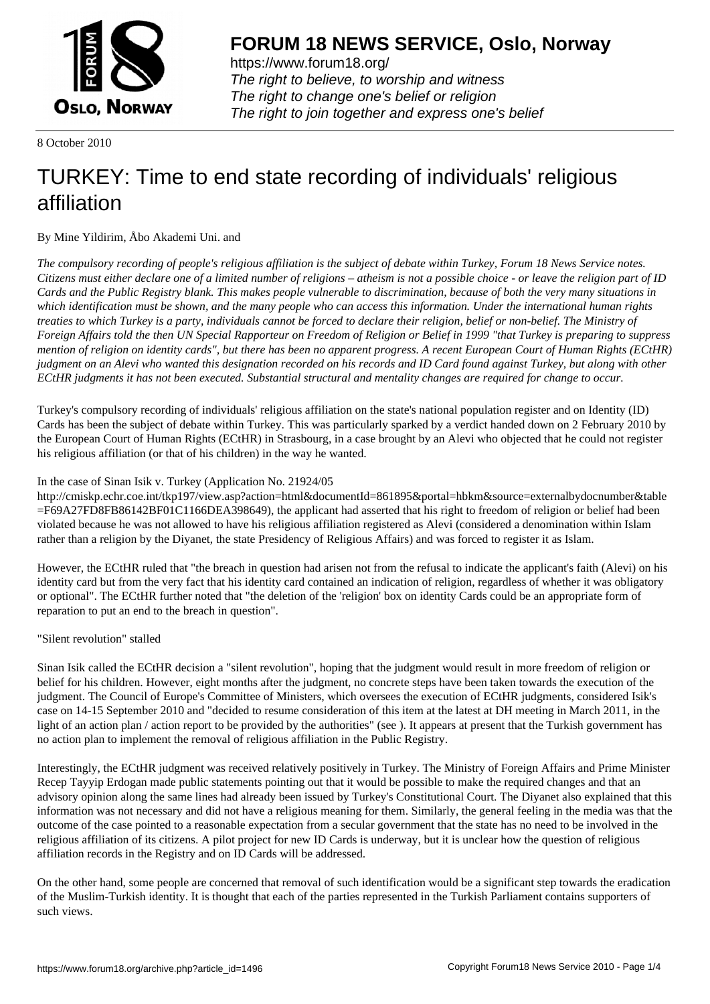

https://www.forum18.org/ The right to believe, to worship and witness The right to change one's belief or religion [The right to join together a](https://www.forum18.org/)nd express one's belief

8 October 2010

## [TURKEY: Time](https://www.forum18.org) to end state recording of individuals' religious affiliation

By Mine Yildirim, Åbo Akademi Uni. and

*The compulsory recording of people's religious affiliation is the subject of debate within Turkey, Forum 18 News Service notes. Citizens must either declare one of a limited number of religions – atheism is not a possible choice - or leave the religion part of ID Cards and the Public Registry blank. This makes people vulnerable to discrimination, because of both the very many situations in which identification must be shown, and the many people who can access this information. Under the international human rights treaties to which Turkey is a party, individuals cannot be forced to declare their religion, belief or non-belief. The Ministry of Foreign Affairs told the then UN Special Rapporteur on Freedom of Religion or Belief in 1999 "that Turkey is preparing to suppress mention of religion on identity cards", but there has been no apparent progress. A recent European Court of Human Rights (ECtHR) judgment on an Alevi who wanted this designation recorded on his records and ID Card found against Turkey, but along with other ECtHR judgments it has not been executed. Substantial structural and mentality changes are required for change to occur.*

Turkey's compulsory recording of individuals' religious affiliation on the state's national population register and on Identity (ID) Cards has been the subject of debate within Turkey. This was particularly sparked by a verdict handed down on 2 February 2010 by the European Court of Human Rights (ECtHR) in Strasbourg, in a case brought by an Alevi who objected that he could not register his religious affiliation (or that of his children) in the way he wanted.

## In the case of Sinan Isik v. Turkey (Application No. 21924/05

http://cmiskp.echr.coe.int/tkp197/view.asp?action=html&documentId=861895&portal=hbkm&source=externalbydocnumber&table =F69A27FD8FB86142BF01C1166DEA398649), the applicant had asserted that his right to freedom of religion or belief had been violated because he was not allowed to have his religious affiliation registered as Alevi (considered a denomination within Islam rather than a religion by the Diyanet, the state Presidency of Religious Affairs) and was forced to register it as Islam.

However, the ECtHR ruled that "the breach in question had arisen not from the refusal to indicate the applicant's faith (Alevi) on his identity card but from the very fact that his identity card contained an indication of religion, regardless of whether it was obligatory or optional". The ECtHR further noted that "the deletion of the 'religion' box on identity Cards could be an appropriate form of reparation to put an end to the breach in question".

"Silent revolution" stalled

Sinan Isik called the ECtHR decision a "silent revolution", hoping that the judgment would result in more freedom of religion or belief for his children. However, eight months after the judgment, no concrete steps have been taken towards the execution of the judgment. The Council of Europe's Committee of Ministers, which oversees the execution of ECtHR judgments, considered Isik's case on 14-15 September 2010 and "decided to resume consideration of this item at the latest at DH meeting in March 2011, in the light of an action plan / action report to be provided by the authorities" (see ). It appears at present that the Turkish government has no action plan to implement the removal of religious affiliation in the Public Registry.

Interestingly, the ECtHR judgment was received relatively positively in Turkey. The Ministry of Foreign Affairs and Prime Minister Recep Tayyip Erdogan made public statements pointing out that it would be possible to make the required changes and that an advisory opinion along the same lines had already been issued by Turkey's Constitutional Court. The Diyanet also explained that this information was not necessary and did not have a religious meaning for them. Similarly, the general feeling in the media was that the outcome of the case pointed to a reasonable expectation from a secular government that the state has no need to be involved in the religious affiliation of its citizens. A pilot project for new ID Cards is underway, but it is unclear how the question of religious affiliation records in the Registry and on ID Cards will be addressed.

On the other hand, some people are concerned that removal of such identification would be a significant step towards the eradication of the Muslim-Turkish identity. It is thought that each of the parties represented in the Turkish Parliament contains supporters of such views.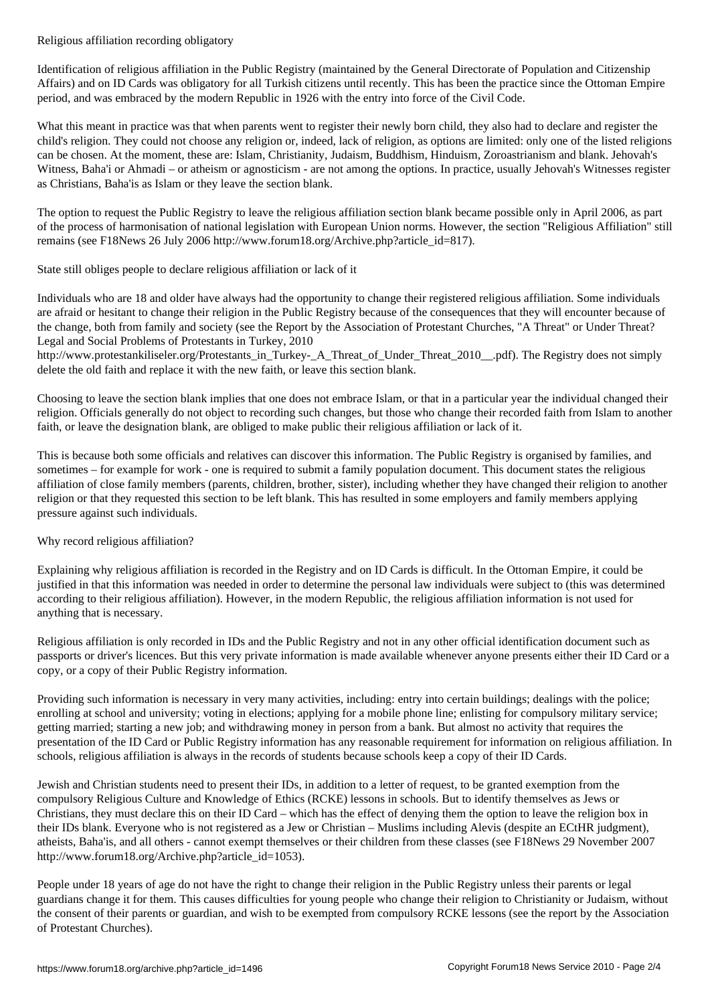Identification of religious affiliation in the Public Registry (maintained by the General Directorate of Population and Citizenship Affairs) and on ID Cards was obligatory for all Turkish citizens until recently. This has been the practice since the Ottoman Empire period, and was embraced by the modern Republic in 1926 with the entry into force of the Civil Code.

What this meant in practice was that when parents went to register their newly born child, they also had to declare and register the child's religion. They could not choose any religion or, indeed, lack of religion, as options are limited: only one of the listed religions can be chosen. At the moment, these are: Islam, Christianity, Judaism, Buddhism, Hinduism, Zoroastrianism and blank. Jehovah's Witness, Baha'i or Ahmadi – or atheism or agnosticism - are not among the options. In practice, usually Jehovah's Witnesses register as Christians, Baha'is as Islam or they leave the section blank.

The option to request the Public Registry to leave the religious affiliation section blank became possible only in April 2006, as part of the process of harmonisation of national legislation with European Union norms. However, the section "Religious Affiliation" still remains (see F18News 26 July 2006 http://www.forum18.org/Archive.php?article\_id=817).

State still obliges people to declare religious affiliation or lack of it

Individuals who are 18 and older have always had the opportunity to change their registered religious affiliation. Some individuals are afraid or hesitant to change their religion in the Public Registry because of the consequences that they will encounter because of the change, both from family and society (see the Report by the Association of Protestant Churches, "A Threat" or Under Threat? Legal and Social Problems of Protestants in Turkey, 2010

http://www.protestankiliseler.org/Protestants\_in\_Turkey-\_A\_Threat\_of\_Under\_Threat\_2010\_\_.pdf). The Registry does not simply delete the old faith and replace it with the new faith, or leave this section blank.

Choosing to leave the section blank implies that one does not embrace Islam, or that in a particular year the individual changed their religion. Officials generally do not object to recording such changes, but those who change their recorded faith from Islam to another faith, or leave the designation blank, are obliged to make public their religious affiliation or lack of it.

This is because both some officials and relatives can discover this information. The Public Registry is organised by families, and sometimes – for example for work - one is required to submit a family population document. This document states the religious affiliation of close family members (parents, children, brother, sister), including whether they have changed their religion to another religion or that they requested this section to be left blank. This has resulted in some employers and family members applying pressure against such individuals.

## Why record religious affiliation?

Explaining why religious affiliation is recorded in the Registry and on ID Cards is difficult. In the Ottoman Empire, it could be justified in that this information was needed in order to determine the personal law individuals were subject to (this was determined according to their religious affiliation). However, in the modern Republic, the religious affiliation information is not used for anything that is necessary.

Religious affiliation is only recorded in IDs and the Public Registry and not in any other official identification document such as passports or driver's licences. But this very private information is made available whenever anyone presents either their ID Card or a copy, or a copy of their Public Registry information.

Providing such information is necessary in very many activities, including: entry into certain buildings; dealings with the police; enrolling at school and university; voting in elections; applying for a mobile phone line; enlisting for compulsory military service; getting married; starting a new job; and withdrawing money in person from a bank. But almost no activity that requires the presentation of the ID Card or Public Registry information has any reasonable requirement for information on religious affiliation. In schools, religious affiliation is always in the records of students because schools keep a copy of their ID Cards.

Jewish and Christian students need to present their IDs, in addition to a letter of request, to be granted exemption from the compulsory Religious Culture and Knowledge of Ethics (RCKE) lessons in schools. But to identify themselves as Jews or Christians, they must declare this on their ID Card – which has the effect of denying them the option to leave the religion box in their IDs blank. Everyone who is not registered as a Jew or Christian – Muslims including Alevis (despite an ECtHR judgment), atheists, Baha'is, and all others - cannot exempt themselves or their children from these classes (see F18News 29 November 2007 http://www.forum18.org/Archive.php?article\_id=1053).

People under 18 years of age do not have the right to change their religion in the Public Registry unless their parents or legal guardians change it for them. This causes difficulties for young people who change their religion to Christianity or Judaism, without the consent of their parents or guardian, and wish to be exempted from compulsory RCKE lessons (see the report by the Association of Protestant Churches).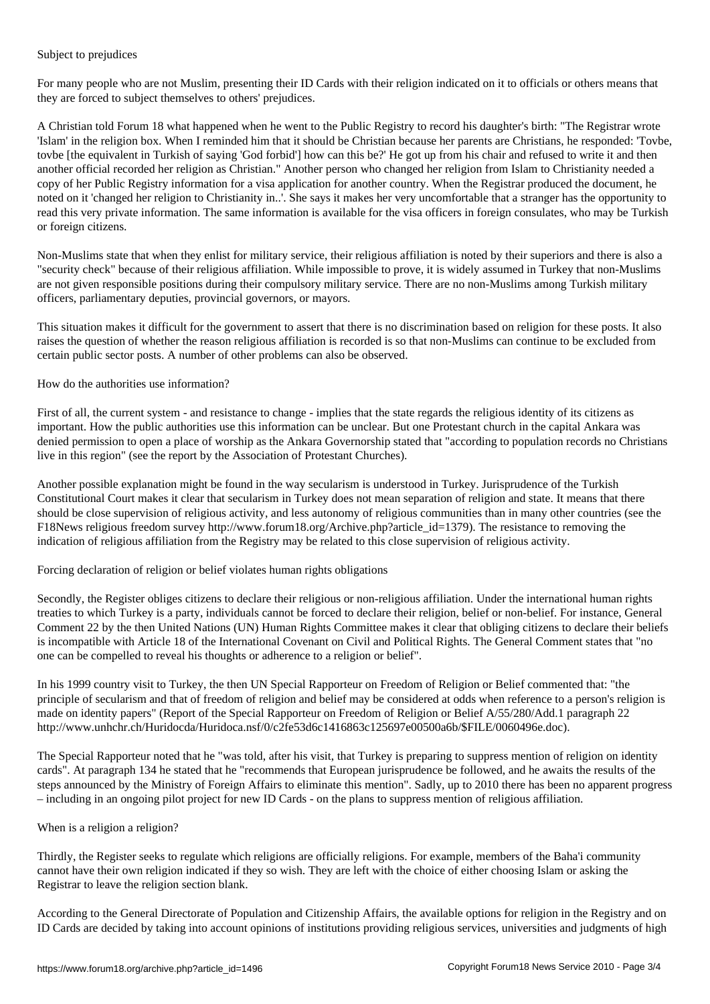Subject to prejudices

For many people who are not Muslim, presenting their ID Cards with their religion indicated on it to officials or others means that they are forced to subject themselves to others' prejudices.

A Christian told Forum 18 what happened when he went to the Public Registry to record his daughter's birth: "The Registrar wrote 'Islam' in the religion box. When I reminded him that it should be Christian because her parents are Christians, he responded: 'Tovbe, tovbe [the equivalent in Turkish of saying 'God forbid'] how can this be?' He got up from his chair and refused to write it and then another official recorded her religion as Christian." Another person who changed her religion from Islam to Christianity needed a copy of her Public Registry information for a visa application for another country. When the Registrar produced the document, he noted on it 'changed her religion to Christianity in..'. She says it makes her very uncomfortable that a stranger has the opportunity to read this very private information. The same information is available for the visa officers in foreign consulates, who may be Turkish or foreign citizens.

Non-Muslims state that when they enlist for military service, their religious affiliation is noted by their superiors and there is also a "security check" because of their religious affiliation. While impossible to prove, it is widely assumed in Turkey that non-Muslims are not given responsible positions during their compulsory military service. There are no non-Muslims among Turkish military officers, parliamentary deputies, provincial governors, or mayors.

This situation makes it difficult for the government to assert that there is no discrimination based on religion for these posts. It also raises the question of whether the reason religious affiliation is recorded is so that non-Muslims can continue to be excluded from certain public sector posts. A number of other problems can also be observed.

How do the authorities use information?

First of all, the current system - and resistance to change - implies that the state regards the religious identity of its citizens as important. How the public authorities use this information can be unclear. But one Protestant church in the capital Ankara was denied permission to open a place of worship as the Ankara Governorship stated that "according to population records no Christians live in this region" (see the report by the Association of Protestant Churches).

Another possible explanation might be found in the way secularism is understood in Turkey. Jurisprudence of the Turkish Constitutional Court makes it clear that secularism in Turkey does not mean separation of religion and state. It means that there should be close supervision of religious activity, and less autonomy of religious communities than in many other countries (see the F18News religious freedom survey http://www.forum18.org/Archive.php?article\_id=1379). The resistance to removing the indication of religious affiliation from the Registry may be related to this close supervision of religious activity.

Forcing declaration of religion or belief violates human rights obligations

Secondly, the Register obliges citizens to declare their religious or non-religious affiliation. Under the international human rights treaties to which Turkey is a party, individuals cannot be forced to declare their religion, belief or non-belief. For instance, General Comment 22 by the then United Nations (UN) Human Rights Committee makes it clear that obliging citizens to declare their beliefs is incompatible with Article 18 of the International Covenant on Civil and Political Rights. The General Comment states that "no one can be compelled to reveal his thoughts or adherence to a religion or belief".

In his 1999 country visit to Turkey, the then UN Special Rapporteur on Freedom of Religion or Belief commented that: "the principle of secularism and that of freedom of religion and belief may be considered at odds when reference to a person's religion is made on identity papers" (Report of the Special Rapporteur on Freedom of Religion or Belief A/55/280/Add.1 paragraph 22 http://www.unhchr.ch/Huridocda/Huridoca.nsf/0/c2fe53d6c1416863c125697e00500a6b/\$FILE/0060496e.doc).

The Special Rapporteur noted that he "was told, after his visit, that Turkey is preparing to suppress mention of religion on identity cards". At paragraph 134 he stated that he "recommends that European jurisprudence be followed, and he awaits the results of the steps announced by the Ministry of Foreign Affairs to eliminate this mention". Sadly, up to 2010 there has been no apparent progress – including in an ongoing pilot project for new ID Cards - on the plans to suppress mention of religious affiliation.

## When is a religion a religion?

Thirdly, the Register seeks to regulate which religions are officially religions. For example, members of the Baha'i community cannot have their own religion indicated if they so wish. They are left with the choice of either choosing Islam or asking the Registrar to leave the religion section blank.

According to the General Directorate of Population and Citizenship Affairs, the available options for religion in the Registry and on ID Cards are decided by taking into account opinions of institutions providing religious services, universities and judgments of high